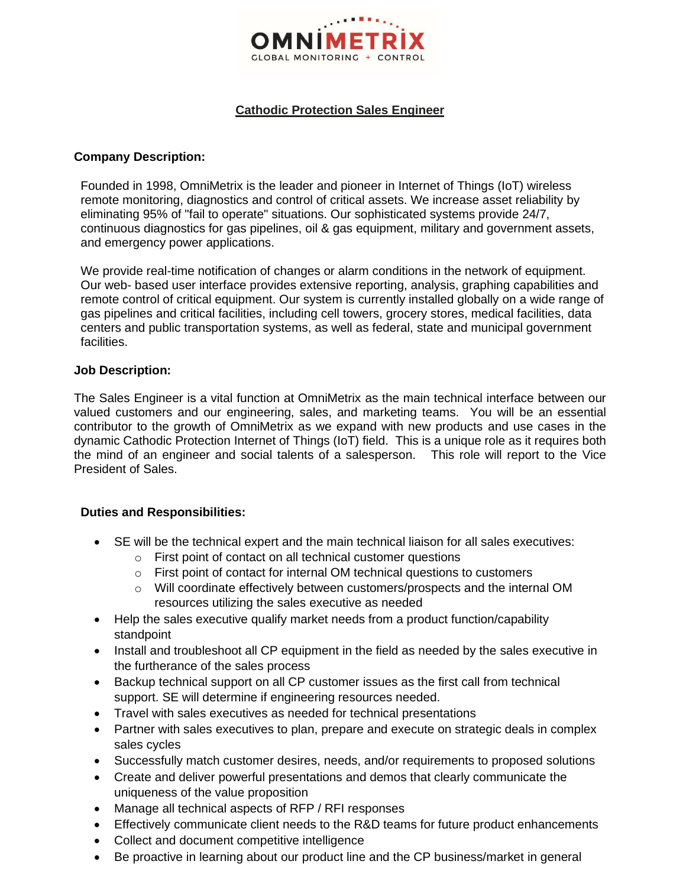

## **Cathodic Protection Sales Engineer**

#### **Company Description:**

Founded in 1998, OmniMetrix is the leader and pioneer in Internet of Things (IoT) wireless remote monitoring, diagnostics and control of critical assets. We increase asset reliability by eliminating 95% of "fail to operate" situations. Our sophisticated systems provide 24/7, continuous diagnostics for gas pipelines, oil & gas equipment, military and government assets, and emergency power applications.

We provide real-time notification of changes or alarm conditions in the network of equipment. Our web- based user interface provides extensive reporting, analysis, graphing capabilities and remote control of critical equipment. Our system is currently installed globally on a wide range of gas pipelines and critical facilities, including cell towers, grocery stores, medical facilities, data centers and public transportation systems, as well as federal, state and municipal government facilities.

#### **Job Description:**

The Sales Engineer is a vital function at OmniMetrix as the main technical interface between our valued customers and our engineering, sales, and marketing teams. You will be an essential contributor to the growth of OmniMetrix as we expand with new products and use cases in the dynamic Cathodic Protection Internet of Things (IoT) field. This is a unique role as it requires both the mind of an engineer and social talents of a salesperson. This role will report to the Vice President of Sales.

## **Duties and Responsibilities:**

- SE will be the technical expert and the main technical liaison for all sales executives:
	- o First point of contact on all technical customer questions
	- o First point of contact for internal OM technical questions to customers
	- o Will coordinate effectively between customers/prospects and the internal OM resources utilizing the sales executive as needed
- Help the sales executive qualify market needs from a product function/capability standpoint
- Install and troubleshoot all CP equipment in the field as needed by the sales executive in the furtherance of the sales process
- Backup technical support on all CP customer issues as the first call from technical support. SE will determine if engineering resources needed.
- Travel with sales executives as needed for technical presentations
- Partner with sales executives to plan, prepare and execute on strategic deals in complex sales cycles
- Successfully match customer desires, needs, and/or requirements to proposed solutions
- Create and deliver powerful presentations and demos that clearly communicate the uniqueness of the value proposition
- Manage all technical aspects of RFP / RFI responses
- Effectively communicate client needs to the R&D teams for future product enhancements
- Collect and document competitive intelligence
- Be proactive in learning about our product line and the CP business/market in general